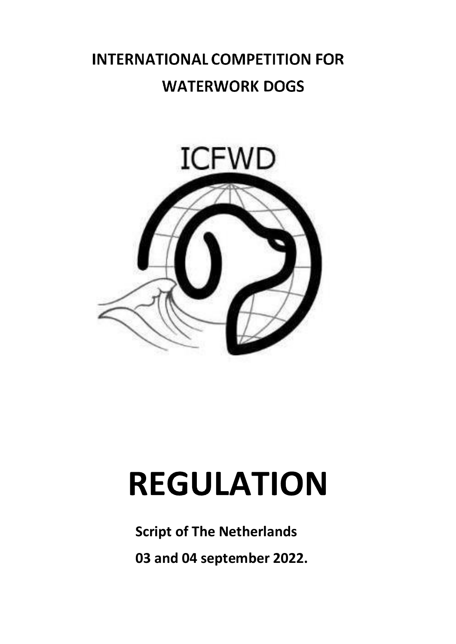# **INTERNATIONAL COMPETITION FOR WATERWORK DOGS**



# **REGULATION**

**Script of The Netherlands**

**03 and 04 september 2022.**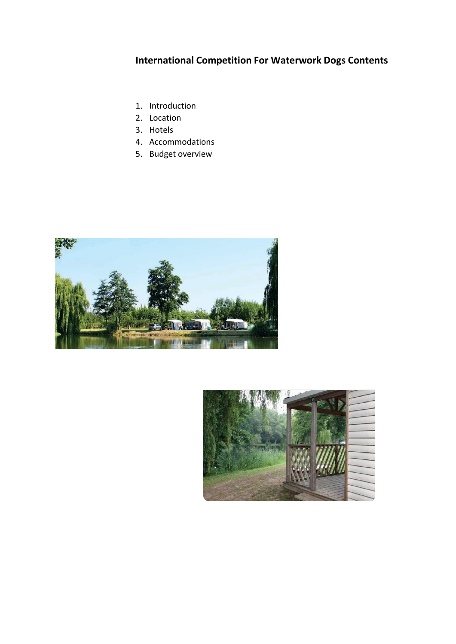## **International Competition For Waterwork Dogs Contents**

- 1. Introduction
- 2. Location
- 3. Hotels
- 4. Accommodations
- 5. Budget overview



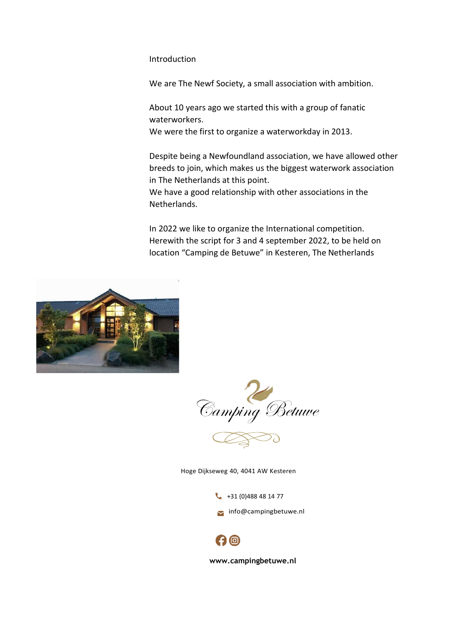#### Introduction

We are The Newf Society, a small association with ambition.

About 10 years ago we started this with a group of fanatic waterworkers.

We were the first to organize a waterworkday in 2013.

Despite being a Newfoundland association, we have allowed other breeds to join, which makes us the biggest waterwork association in The Netherlands at this point.

We have a good relationship with other associations in the Netherlands.

In 2022 we like to organize the International competition. Herewith the script for 3 and 4 september 2022, to be held on location "Camping de Betuwe" in Kesteren, The Netherlands



Camping Betuwe

Hoge Dijkseweg 40, 4041 AW Kesteren

 $+31(0)488481477$ 

[info@campingbetuwe.nl](mailto:info@campingbetuwe.nl)



**[www.campingbetuwe.nl](http://www.campingbetuwe.nl/)**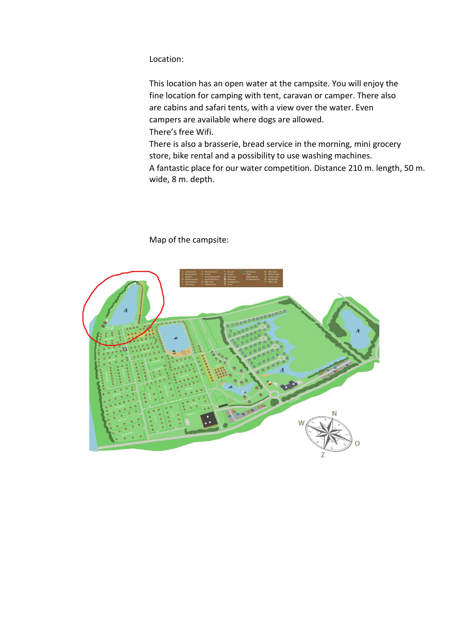### Location:

This location has an open water at the campsite. You will enjoy the fine location for camping with tent, caravan or camper. There also are cabins and safari tents, with a view over the water. Even campers are available where dogs are allowed. There's free Wifi.

There is also a brasserie, bread service in the morning, mini grocery store, bike rental and a possibility to use washing machines. A fantastic place for our water competition. Distance 210 m. length, 50 m. wide, 8 m. depth.



Map of the campsite: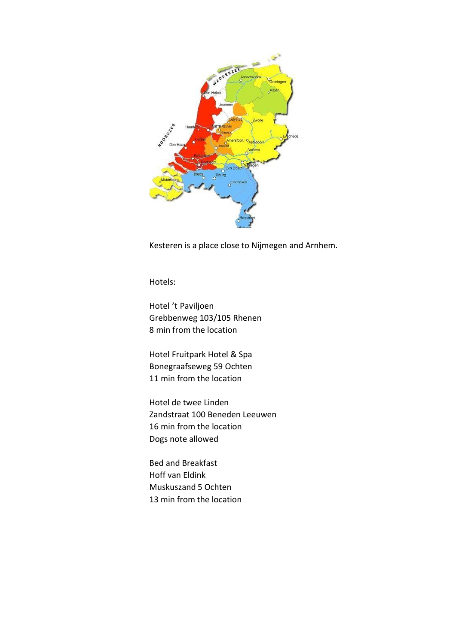

Kesteren is a place close to Nijmegen and Arnhem.

Hotels:

Hotel 't Paviljoen Grebbenweg 103/105 Rhenen 8 min from the location

Hotel Fruitpark Hotel & Spa Bonegraafseweg 59 Ochten 11 min from the location

Hotel de twee Linden Zandstraat 100 Beneden Leeuwen 16 min from the location Dogs note allowed

Bed and Breakfast Hoff van Eldink Muskuszand 5 Ochten 13 min from the location